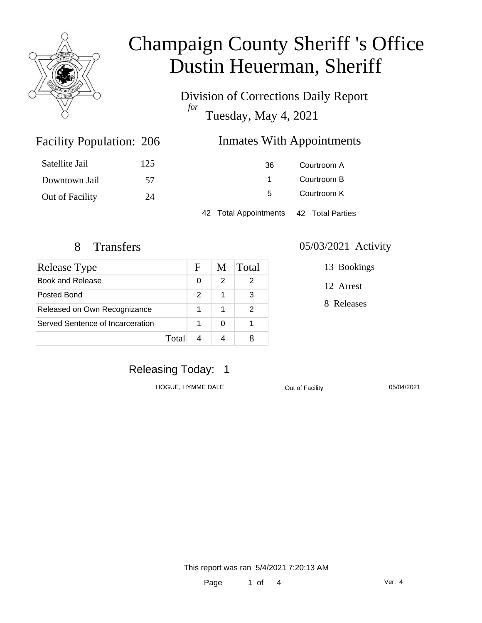

# Champaign County Sheriff 's Office Dustin Heuerman, Sheriff

Division of Corrections Daily Report *for* Tuesday, May 4, 2021

### Inmates With Appointments

| Satellite Jail  | 125 | 36                                     | Courtroom A |
|-----------------|-----|----------------------------------------|-------------|
| Downtown Jail   | 57  |                                        | Courtroom B |
| Out of Facility | 24  | Courtroom K<br>5                       |             |
|                 |     | 42 Total Appointments 42 Total Parties |             |

Facility Population: 206

| Release Type                     |       | F             | M | Total |
|----------------------------------|-------|---------------|---|-------|
| Book and Release                 |       | 0             | 2 | 2     |
| Posted Bond                      |       | $\mathcal{P}$ | 1 | 3     |
| Released on Own Recognizance     |       |               |   |       |
| Served Sentence of Incarceration |       |               | ∩ |       |
|                                  | Total |               |   |       |

### 8 Transfers 05/03/2021 Activity

13 Bookings

12 Arrest

8 Releases

## Releasing Today: 1

HOGUE, HYMME DALE **Out of Facility** 05/04/2021

This report was ran 5/4/2021 7:20:13 AM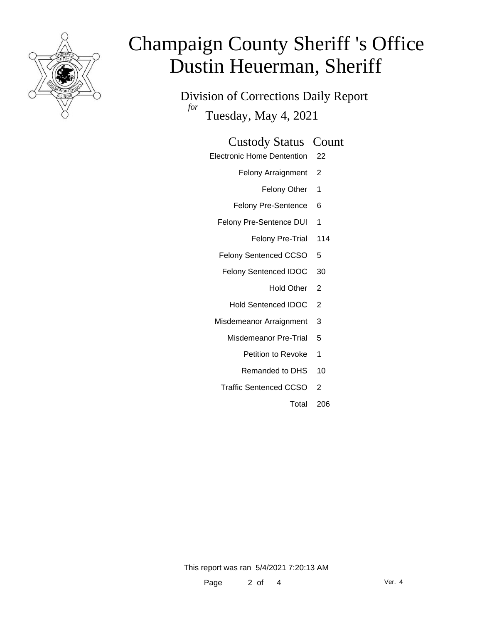

# Champaign County Sheriff 's Office Dustin Heuerman, Sheriff

Division of Corrections Daily Report *for* Tuesday, May 4, 2021

### Custody Status Count

- Electronic Home Dentention 22
	- Felony Arraignment 2
		- Felony Other 1
	- Felony Pre-Sentence 6
	- Felony Pre-Sentence DUI 1
		- Felony Pre-Trial 114
	- Felony Sentenced CCSO 5
	- Felony Sentenced IDOC 30
		- Hold Other 2
		- Hold Sentenced IDOC 2
	- Misdemeanor Arraignment 3
		- Misdemeanor Pre-Trial 5
			- Petition to Revoke 1
			- Remanded to DHS 10
		- Traffic Sentenced CCSO 2
			- Total 206

This report was ran 5/4/2021 7:20:13 AM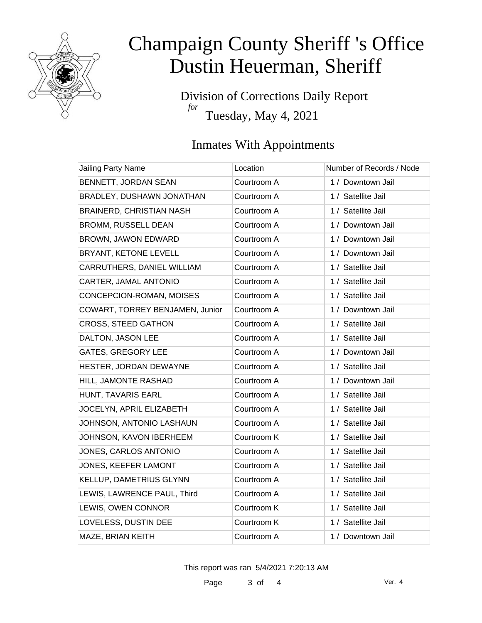

# Champaign County Sheriff 's Office Dustin Heuerman, Sheriff

Division of Corrections Daily Report *for* Tuesday, May 4, 2021

## Inmates With Appointments

| Jailing Party Name              | Location    | Number of Records / Node |
|---------------------------------|-------------|--------------------------|
| BENNETT, JORDAN SEAN            | Courtroom A | 1 / Downtown Jail        |
| BRADLEY, DUSHAWN JONATHAN       | Courtroom A | 1 / Satellite Jail       |
| BRAINERD, CHRISTIAN NASH        | Courtroom A | 1 / Satellite Jail       |
| <b>BROMM, RUSSELL DEAN</b>      | Courtroom A | 1 / Downtown Jail        |
| BROWN, JAWON EDWARD             | Courtroom A | 1 / Downtown Jail        |
| BRYANT, KETONE LEVELL           | Courtroom A | 1 / Downtown Jail        |
| CARRUTHERS, DANIEL WILLIAM      | Courtroom A | 1 / Satellite Jail       |
| CARTER, JAMAL ANTONIO           | Courtroom A | 1 / Satellite Jail       |
| CONCEPCION-ROMAN, MOISES        | Courtroom A | 1 / Satellite Jail       |
| COWART, TORREY BENJAMEN, Junior | Courtroom A | 1 / Downtown Jail        |
| <b>CROSS, STEED GATHON</b>      | Courtroom A | 1 / Satellite Jail       |
| DALTON, JASON LEE               | Courtroom A | 1 / Satellite Jail       |
| <b>GATES, GREGORY LEE</b>       | Courtroom A | 1 / Downtown Jail        |
| HESTER, JORDAN DEWAYNE          | Courtroom A | 1 / Satellite Jail       |
| HILL, JAMONTE RASHAD            | Courtroom A | 1 / Downtown Jail        |
| HUNT, TAVARIS EARL              | Courtroom A | 1 / Satellite Jail       |
| JOCELYN, APRIL ELIZABETH        | Courtroom A | 1 / Satellite Jail       |
| JOHNSON, ANTONIO LASHAUN        | Courtroom A | 1 / Satellite Jail       |
| JOHNSON, KAVON IBERHEEM         | Courtroom K | 1 / Satellite Jail       |
| JONES, CARLOS ANTONIO           | Courtroom A | 1 / Satellite Jail       |
| JONES, KEEFER LAMONT            | Courtroom A | 1 / Satellite Jail       |
| KELLUP, DAMETRIUS GLYNN         | Courtroom A | 1 / Satellite Jail       |
| LEWIS, LAWRENCE PAUL, Third     | Courtroom A | 1 / Satellite Jail       |
| LEWIS, OWEN CONNOR              | Courtroom K | 1 / Satellite Jail       |
| LOVELESS, DUSTIN DEE            | Courtroom K | 1 / Satellite Jail       |
| MAZE, BRIAN KEITH               | Courtroom A | 1 / Downtown Jail        |

This report was ran 5/4/2021 7:20:13 AM